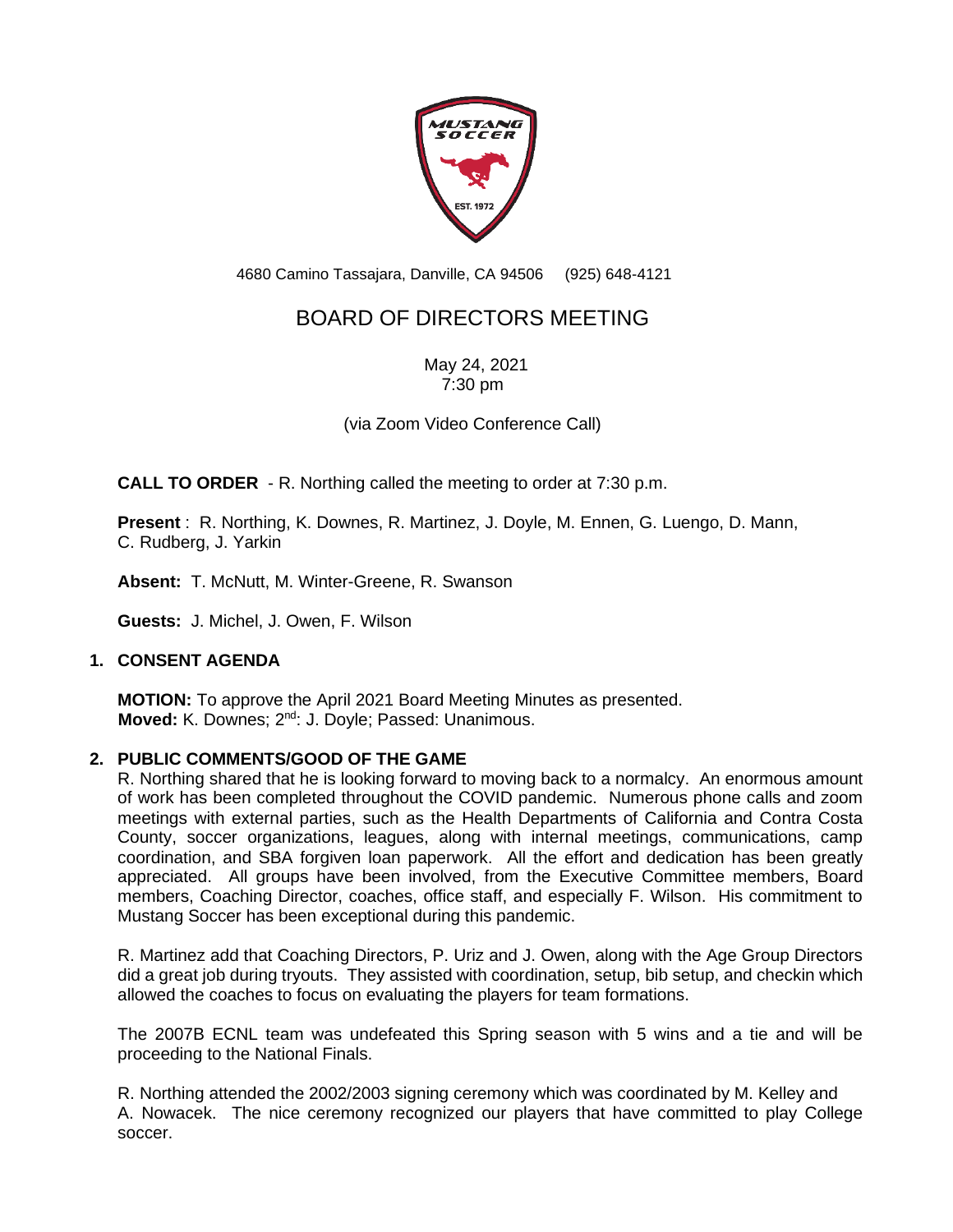

4680 Camino Tassajara, Danville, CA 94506 (925) 648-4121

# BOARD OF DIRECTORS MEETING

May 24, 2021 7:30 pm

(via Zoom Video Conference Call)

**CALL TO ORDER** - R. Northing called the meeting to order at 7:30 p.m.

**Present** : R. Northing, K. Downes, R. Martinez, J. Doyle, M. Ennen, G. Luengo, D. Mann, C. Rudberg, J. Yarkin

**Absent:** T. McNutt, M. Winter-Greene, R. Swanson

**Guests:** J. Michel, J. Owen, F. Wilson

# **1. CONSENT AGENDA**

**MOTION:** To approve the April 2021 Board Meeting Minutes as presented. **Moved:** K. Downes; 2<sup>nd</sup>: J. Doyle; Passed: Unanimous.

# **2. PUBLIC COMMENTS/GOOD OF THE GAME**

R. Northing shared that he is looking forward to moving back to a normalcy. An enormous amount of work has been completed throughout the COVID pandemic. Numerous phone calls and zoom meetings with external parties, such as the Health Departments of California and Contra Costa County, soccer organizations, leagues, along with internal meetings, communications, camp coordination, and SBA forgiven loan paperwork. All the effort and dedication has been greatly appreciated. All groups have been involved, from the Executive Committee members, Board members, Coaching Director, coaches, office staff, and especially F. Wilson. His commitment to Mustang Soccer has been exceptional during this pandemic.

R. Martinez add that Coaching Directors, P. Uriz and J. Owen, along with the Age Group Directors did a great job during tryouts. They assisted with coordination, setup, bib setup, and checkin which allowed the coaches to focus on evaluating the players for team formations.

The 2007B ECNL team was undefeated this Spring season with 5 wins and a tie and will be proceeding to the National Finals.

R. Northing attended the 2002/2003 signing ceremony which was coordinated by M. Kelley and A. Nowacek. The nice ceremony recognized our players that have committed to play College soccer.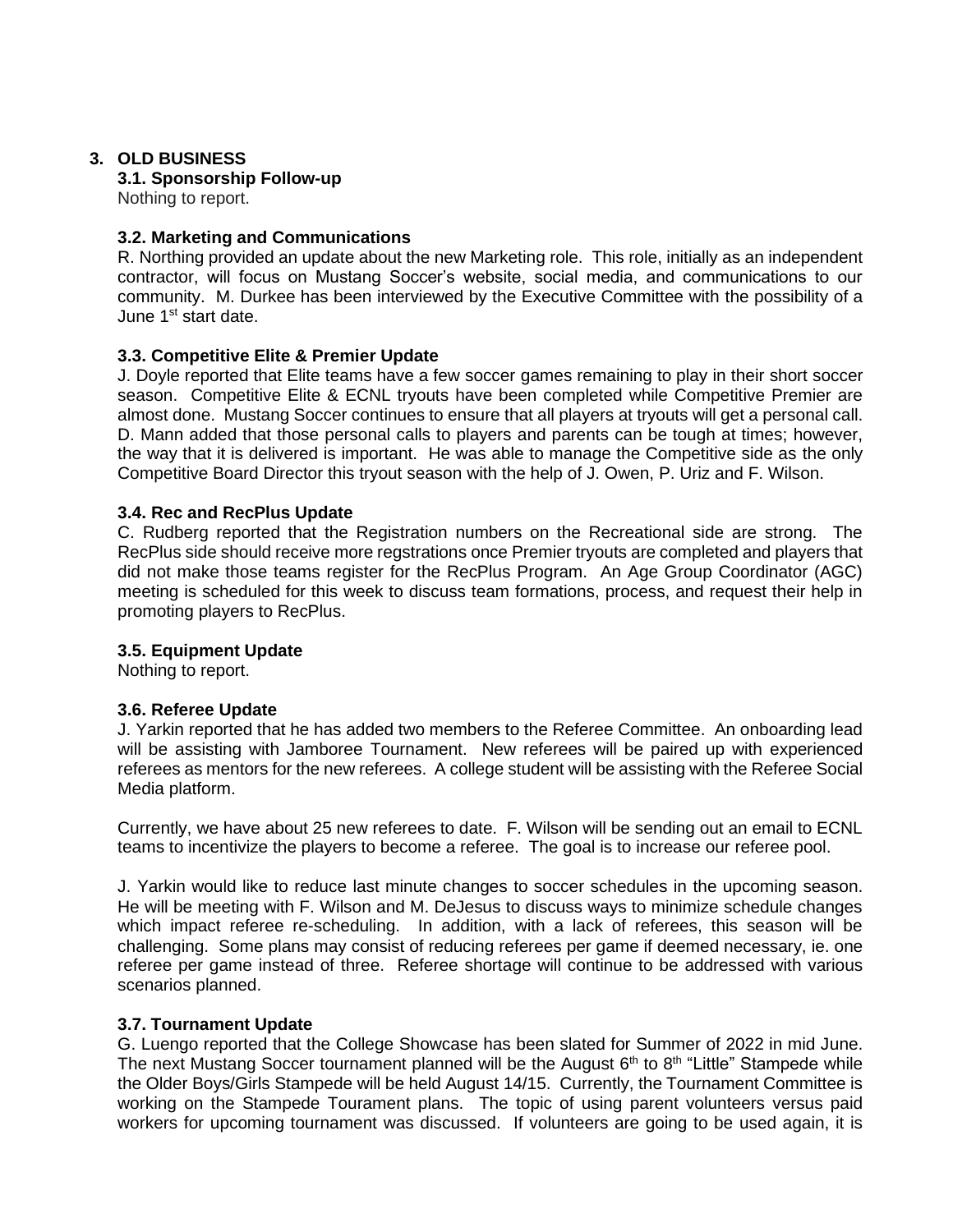# **3. OLD BUSINESS**

# **3.1. Sponsorship Follow-up**

Nothing to report.

# **3.2. Marketing and Communications**

R. Northing provided an update about the new Marketing role. This role, initially as an independent contractor, will focus on Mustang Soccer's website, social media, and communications to our community. M. Durkee has been interviewed by the Executive Committee with the possibility of a June 1<sup>st</sup> start date.

# **3.3. Competitive Elite & Premier Update**

J. Doyle reported that Elite teams have a few soccer games remaining to play in their short soccer season. Competitive Elite & ECNL tryouts have been completed while Competitive Premier are almost done. Mustang Soccer continues to ensure that all players at tryouts will get a personal call. D. Mann added that those personal calls to players and parents can be tough at times; however, the way that it is delivered is important. He was able to manage the Competitive side as the only Competitive Board Director this tryout season with the help of J. Owen, P. Uriz and F. Wilson.

# **3.4. Rec and RecPlus Update**

C. Rudberg reported that the Registration numbers on the Recreational side are strong. The RecPlus side should receive more regstrations once Premier tryouts are completed and players that did not make those teams register for the RecPlus Program. An Age Group Coordinator (AGC) meeting is scheduled for this week to discuss team formations, process, and request their help in promoting players to RecPlus.

#### **3.5. Equipment Update**

Nothing to report.

#### **3.6. Referee Update**

J. Yarkin reported that he has added two members to the Referee Committee. An onboarding lead will be assisting with Jamboree Tournament. New referees will be paired up with experienced referees as mentors for the new referees. A college student will be assisting with the Referee Social Media platform.

Currently, we have about 25 new referees to date. F. Wilson will be sending out an email to ECNL teams to incentivize the players to become a referee. The goal is to increase our referee pool.

J. Yarkin would like to reduce last minute changes to soccer schedules in the upcoming season. He will be meeting with F. Wilson and M. DeJesus to discuss ways to minimize schedule changes which impact referee re-scheduling. In addition, with a lack of referees, this season will be challenging. Some plans may consist of reducing referees per game if deemed necessary, ie. one referee per game instead of three. Referee shortage will continue to be addressed with various scenarios planned.

#### **3.7. Tournament Update**

G. Luengo reported that the College Showcase has been slated for Summer of 2022 in mid June. The next Mustang Soccer tournament planned will be the August  $6<sup>th</sup>$  to  $8<sup>th</sup>$  "Little" Stampede while the Older Boys/Girls Stampede will be held August 14/15. Currently, the Tournament Committee is working on the Stampede Tourament plans. The topic of using parent volunteers versus paid workers for upcoming tournament was discussed. If volunteers are going to be used again, it is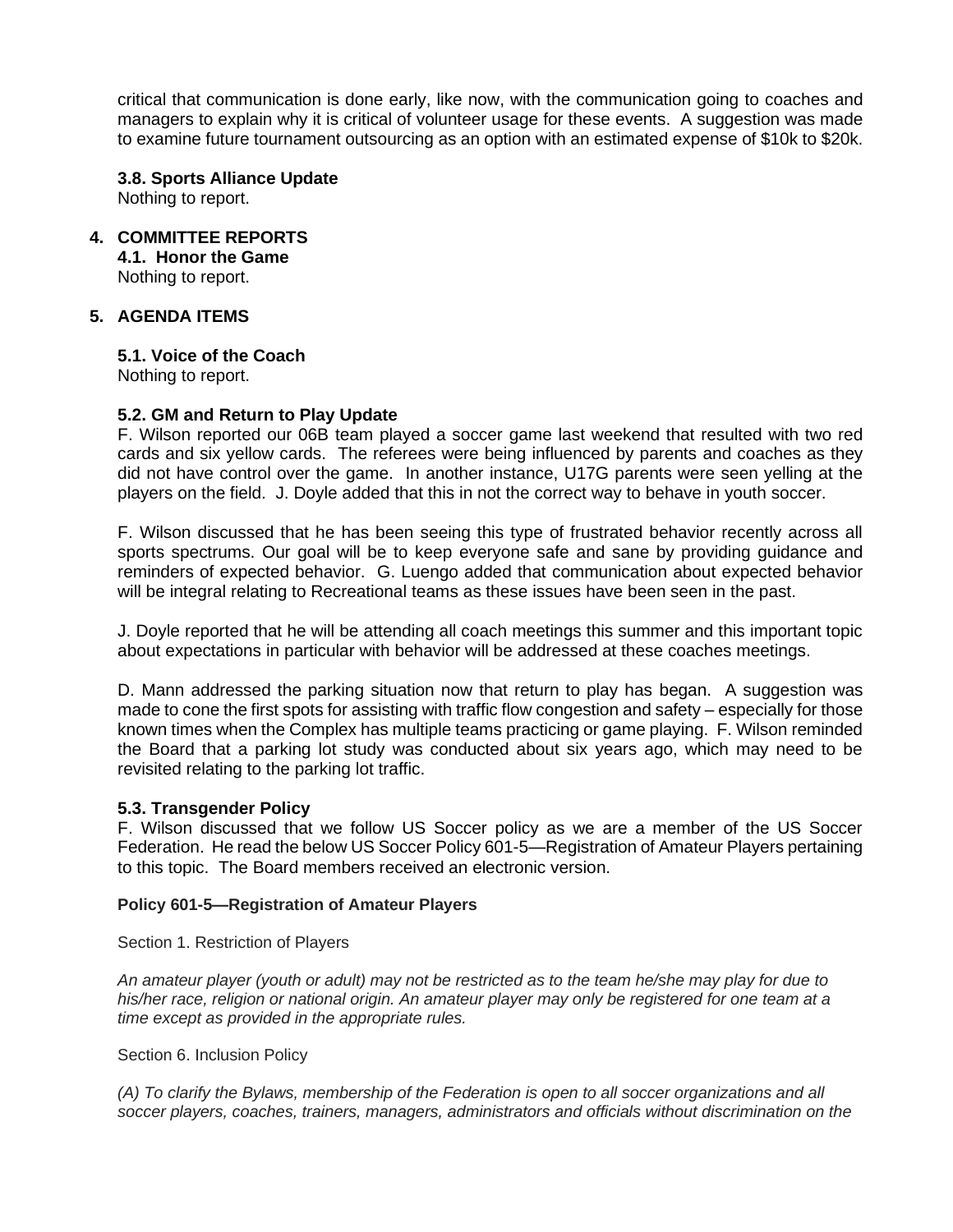critical that communication is done early, like now, with the communication going to coaches and managers to explain why it is critical of volunteer usage for these events. A suggestion was made to examine future tournament outsourcing as an option with an estimated expense of \$10k to \$20k.

# **3.8. Sports Alliance Update**

Nothing to report.

# **4. COMMITTEE REPORTS**

**4.1. Honor the Game** Nothing to report.

# **5. AGENDA ITEMS**

**5.1. Voice of the Coach** Nothing to report.

# **5.2. GM and Return to Play Update**

F. Wilson reported our 06B team played a soccer game last weekend that resulted with two red cards and six yellow cards. The referees were being influenced by parents and coaches as they did not have control over the game. In another instance, U17G parents were seen yelling at the players on the field. J. Doyle added that this in not the correct way to behave in youth soccer.

F. Wilson discussed that he has been seeing this type of frustrated behavior recently across all sports spectrums. Our goal will be to keep everyone safe and sane by providing guidance and reminders of expected behavior. G. Luengo added that communication about expected behavior will be integral relating to Recreational teams as these issues have been seen in the past.

J. Doyle reported that he will be attending all coach meetings this summer and this important topic about expectations in particular with behavior will be addressed at these coaches meetings.

D. Mann addressed the parking situation now that return to play has began. A suggestion was made to cone the first spots for assisting with traffic flow congestion and safety – especially for those known times when the Complex has multiple teams practicing or game playing. F. Wilson reminded the Board that a parking lot study was conducted about six years ago, which may need to be revisited relating to the parking lot traffic.

#### **5.3. Transgender Policy**

F. Wilson discussed that we follow US Soccer policy as we are a member of the US Soccer Federation. He read the below US Soccer Policy 601-5—Registration of Amateur Players pertaining to this topic. The Board members received an electronic version.

#### **Policy 601-5—Registration of Amateur Players**

Section 1. Restriction of Players

*An amateur player (youth or adult) may not be restricted as to the team he/she may play for due to his/her race, religion or national origin. An amateur player may only be registered for one team at a time except as provided in the appropriate rules.*

Section 6. Inclusion Policy

*(A) To clarify the Bylaws, membership of the Federation is open to all soccer organizations and all soccer players, coaches, trainers, managers, administrators and officials without discrimination on the*